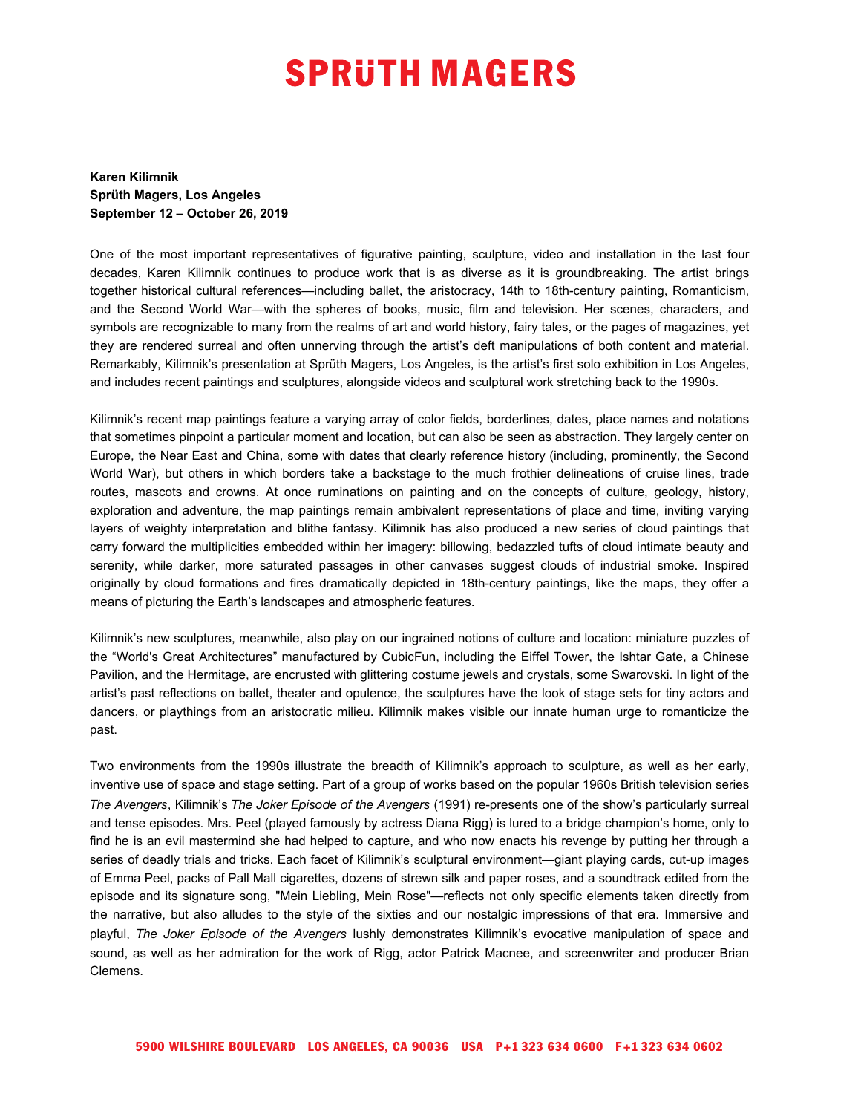## **SPRUTH MAGERS**

**Karen Kilimnik Sprüth Magers, Los Angeles September 12 – October 26, 2019**

One of the most important representatives of figurative painting, sculpture, video and installation in the last four decades, Karen Kilimnik continues to produce work that is as diverse as it is groundbreaking. The artist brings together historical cultural references—including ballet, the aristocracy, 14th to 18th-century painting, Romanticism, and the Second World War—with the spheres of books, music, film and television. Her scenes, characters, and symbols are recognizable to many from the realms of art and world history, fairy tales, or the pages of magazines, yet they are rendered surreal and often unnerving through the artist's deft manipulations of both content and material. Remarkably, Kilimnik's presentation at Sprüth Magers, Los Angeles, is the artist's first solo exhibition in Los Angeles, and includes recent paintings and sculptures, alongside videos and sculptural work stretching back to the 1990s.

Kilimnik's recent map paintings feature a varying array of color fields, borderlines, dates, place names and notations that sometimes pinpoint a particular moment and location, but can also be seen as abstraction. They largely center on Europe, the Near East and China, some with dates that clearly reference history (including, prominently, the Second World War), but others in which borders take a backstage to the much frothier delineations of cruise lines, trade routes, mascots and crowns. At once ruminations on painting and on the concepts of culture, geology, history, exploration and adventure, the map paintings remain ambivalent representations of place and time, inviting varying layers of weighty interpretation and blithe fantasy. Kilimnik has also produced a new series of cloud paintings that carry forward the multiplicities embedded within her imagery: billowing, bedazzled tufts of cloud intimate beauty and serenity, while darker, more saturated passages in other canvases suggest clouds of industrial smoke. Inspired originally by cloud formations and fires dramatically depicted in 18th-century paintings, like the maps, they offer a means of picturing the Earth's landscapes and atmospheric features.

Kilimnik's new sculptures, meanwhile, also play on our ingrained notions of culture and location: miniature puzzles of the "World's Great Architectures" manufactured by CubicFun, including the Eiffel Tower, the Ishtar Gate, a Chinese Pavilion, and the Hermitage, are encrusted with glittering costume jewels and crystals, some Swarovski. In light of the artist's past reflections on ballet, theater and opulence, the sculptures have the look of stage sets for tiny actors and dancers, or playthings from an aristocratic milieu. Kilimnik makes visible our innate human urge to romanticize the past.

Two environments from the 1990s illustrate the breadth of Kilimnik's approach to sculpture, as well as her early, inventive use of space and stage setting. Part of a group of works based on the popular 1960s British television series *The Avengers*, Kilimnik's *The Joker Episode of the Avengers* (1991) re-presents one of the show's particularly surreal and tense episodes. Mrs. Peel (played famously by actress Diana Rigg) is lured to a bridge champion's home, only to find he is an evil mastermind she had helped to capture, and who now enacts his revenge by putting her through a series of deadly trials and tricks. Each facet of Kilimnik's sculptural environment—giant playing cards, cut-up images of Emma Peel, packs of Pall Mall cigarettes, dozens of strewn silk and paper roses, and a soundtrack edited from the episode and its signature song, "Mein Liebling, Mein Rose"—reflects not only specific elements taken directly from the narrative, but also alludes to the style of the sixties and our nostalgic impressions of that era. Immersive and playful, *The Joker Episode of the Avengers* lushly demonstrates Kilimnik's evocative manipulation of space and sound, as well as her admiration for the work of Rigg, actor Patrick Macnee, and screenwriter and producer Brian Clemens.